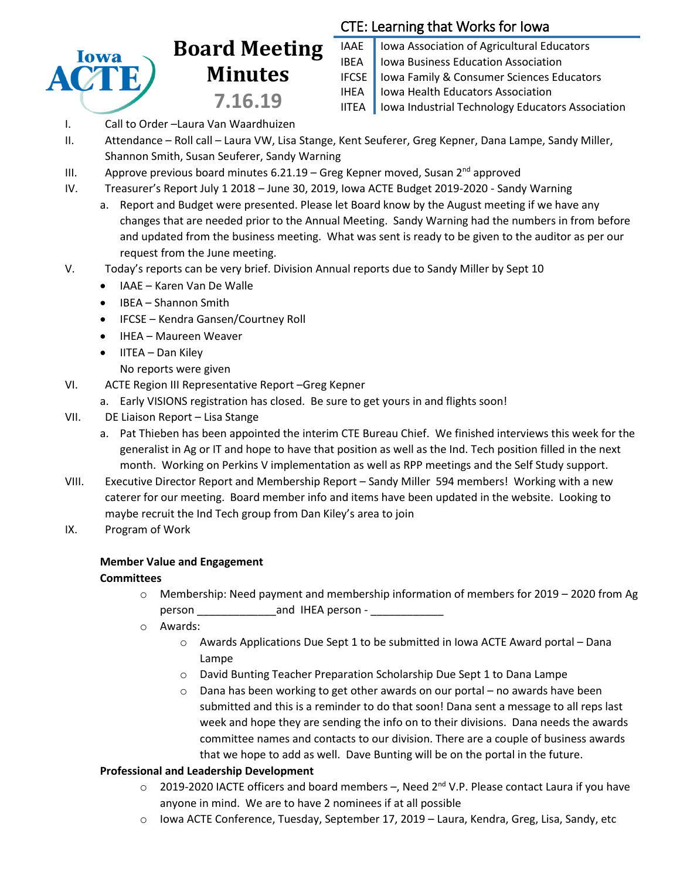

# **Board Meeting Minutes 7.16.19**

## CTE: Learning that Works for Iowa

- IAAE | Iowa Association of Agricultural Educators **IBEA** | Iowa Business Education Association IFCSE Iowa Family & Consumer Sciences Educators IHEA | Iowa Health Educators Association IITEA | Iowa Industrial Technology Educators Association
- I. Call to Order –Laura Van Waardhuizen
- II. Attendance Roll call Laura VW, Lisa Stange, Kent Seuferer, Greg Kepner, Dana Lampe, Sandy Miller, Shannon Smith, Susan Seuferer, Sandy Warning
- III. Approve previous board minutes  $6.21.19$  Greg Kepner moved, Susan 2<sup>nd</sup> approved
- IV. Treasurer's Report July 1 2018 June 30, 2019, Iowa ACTE Budget 2019-2020 Sandy Warning
	- a. Report and Budget were presented. Please let Board know by the August meeting if we have any changes that are needed prior to the Annual Meeting. Sandy Warning had the numbers in from before and updated from the business meeting. What was sent is ready to be given to the auditor as per our request from the June meeting.
- V. Today's reports can be very brief. Division Annual reports due to Sandy Miller by Sept 10
	- IAAE Karen Van De Walle
	- IBEA Shannon Smith
	- IFCSE Kendra Gansen/Courtney Roll
	- IHEA Maureen Weaver
	- $\bullet$  IITEA Dan Kiley
		- No reports were given
- VI. ACTE Region III Representative Report –Greg Kepner
	- a. Early VISIONS registration has closed. Be sure to get yours in and flights soon!
- VII. DE Liaison Report Lisa Stange
	- a. Pat Thieben has been appointed the interim CTE Bureau Chief. We finished interviews this week for the generalist in Ag or IT and hope to have that position as well as the Ind. Tech position filled in the next month. Working on Perkins V implementation as well as RPP meetings and the Self Study support.
- VIII. Executive Director Report and Membership Report Sandy Miller 594 members! Working with a new caterer for our meeting. Board member info and items have been updated in the website. Looking to maybe recruit the Ind Tech group from Dan Kiley's area to join
- IX. Program of Work

## **Member Value and Engagement**

#### **Committees**

- $\circ$  Membership: Need payment and membership information of members for 2019 2020 from Ag person \_\_\_\_\_\_\_\_\_\_\_\_\_and IHEA person - \_\_\_\_\_\_\_\_\_\_\_\_
- o Awards:
	- $\circ$  Awards Applications Due Sept 1 to be submitted in Iowa ACTE Award portal Dana Lampe
	- o David Bunting Teacher Preparation Scholarship Due Sept 1 to Dana Lampe
	- $\circ$  Dana has been working to get other awards on our portal no awards have been submitted and this is a reminder to do that soon! Dana sent a message to all reps last week and hope they are sending the info on to their divisions. Dana needs the awards committee names and contacts to our division. There are a couple of business awards that we hope to add as well. Dave Bunting will be on the portal in the future.

## **Professional and Leadership Development**

- $\circ$  2019-2020 IACTE officers and board members –, Need 2<sup>nd</sup> V.P. Please contact Laura if you have anyone in mind. We are to have 2 nominees if at all possible
- o Iowa ACTE Conference, Tuesday, September 17, 2019 Laura, Kendra, Greg, Lisa, Sandy, etc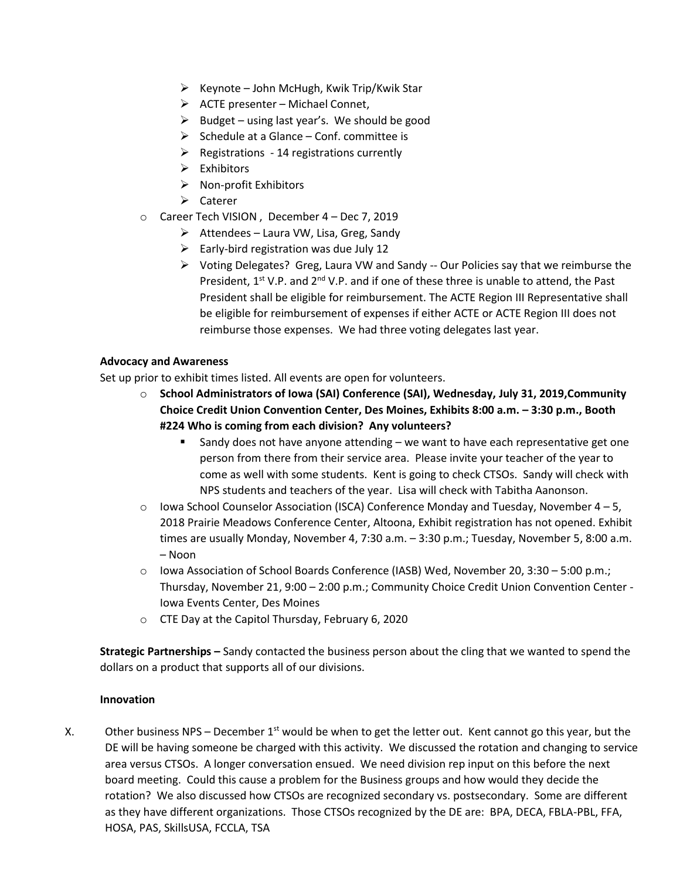- $\triangleright$  Keynote John McHugh, Kwik Trip/Kwik Star
- $\triangleright$  ACTE presenter Michael Connet,
- $\triangleright$  Budget using last year's. We should be good
- $\triangleright$  Schedule at a Glance Conf. committee is
- $\triangleright$  Registrations 14 registrations currently
- $\triangleright$  Exhibitors
- $\triangleright$  Non-profit Exhibitors
- Caterer
- o Career Tech VISION , December 4 Dec 7, 2019
	- $\triangleright$  Attendees Laura VW, Lisa, Greg, Sandy
	- $\triangleright$  Early-bird registration was due July 12
	- Voting Delegates? Greg, Laura VW and Sandy -- Our Policies say that we reimburse the President, 1<sup>st</sup> V.P. and 2<sup>nd</sup> V.P. and if one of these three is unable to attend, the Past President shall be eligible for reimbursement. The ACTE Region III Representative shall be eligible for reimbursement of expenses if either ACTE or ACTE Region III does not reimburse those expenses. We had three voting delegates last year.

#### **Advocacy and Awareness**

Set up prior to exhibit times listed. All events are open for volunteers.

- o **School Administrators of Iowa (SAI) Conference (SAI), Wednesday, July 31, 2019,Community Choice Credit Union Convention Center, Des Moines, Exhibits 8:00 a.m. – 3:30 p.m., Booth #224 Who is coming from each division? Any volunteers?**
	- Sandy does not have anyone attending  $-$  we want to have each representative get one person from there from their service area. Please invite your teacher of the year to come as well with some students. Kent is going to check CTSOs. Sandy will check with NPS students and teachers of the year. Lisa will check with Tabitha Aanonson.
- $\circ$  Iowa School Counselor Association (ISCA) Conference Monday and Tuesday, November 4 5, 2018 Prairie Meadows Conference Center, Altoona, Exhibit registration has not opened. Exhibit times are usually Monday, November 4, 7:30 a.m. – 3:30 p.m.; Tuesday, November 5, 8:00 a.m. – Noon
- o Iowa Association of School Boards Conference (IASB) Wed, November 20, 3:30 5:00 p.m.; Thursday, November 21, 9:00 – 2:00 p.m.; Community Choice Credit Union Convention Center - Iowa Events Center, Des Moines
- o CTE Day at the Capitol Thursday, February 6, 2020

**Strategic Partnerships –** Sandy contacted the business person about the cling that we wanted to spend the dollars on a product that supports all of our divisions.

#### **Innovation**

X. Other business NPS – December  $1<sup>st</sup>$  would be when to get the letter out. Kent cannot go this year, but the DE will be having someone be charged with this activity. We discussed the rotation and changing to service area versus CTSOs. A longer conversation ensued. We need division rep input on this before the next board meeting. Could this cause a problem for the Business groups and how would they decide the rotation? We also discussed how CTSOs are recognized secondary vs. postsecondary. Some are different as they have different organizations. Those CTSOs recognized by the DE are: BPA, DECA, FBLA-PBL, FFA, HOSA, PAS, SkillsUSA, FCCLA, TSA